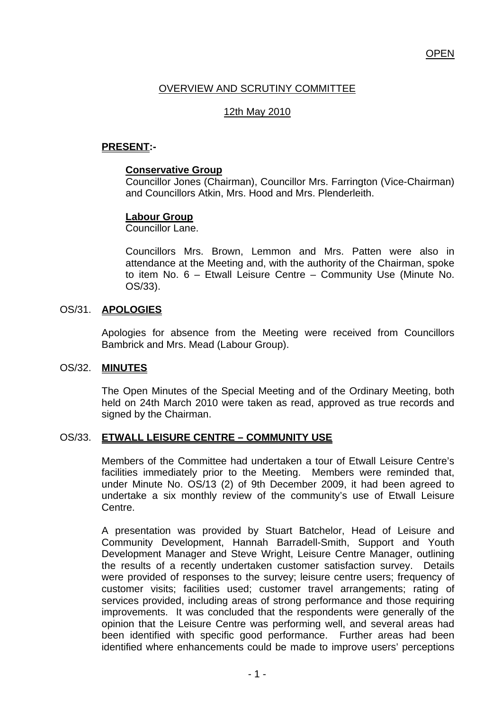## **OPEN**

# OVERVIEW AND SCRUTINY COMMITTEE

## 12th May 2010

## **PRESENT:-**

### **Conservative Group**

Councillor Jones (Chairman), Councillor Mrs. Farrington (Vice-Chairman) and Councillors Atkin, Mrs. Hood and Mrs. Plenderleith.

## **Labour Group**

Councillor Lane.

Councillors Mrs. Brown, Lemmon and Mrs. Patten were also in attendance at the Meeting and, with the authority of the Chairman, spoke to item No. 6 – Etwall Leisure Centre – Community Use (Minute No. OS/33).

## OS/31. **APOLOGIES**

Apologies for absence from the Meeting were received from Councillors Bambrick and Mrs. Mead (Labour Group).

#### OS/32. **MINUTES**

The Open Minutes of the Special Meeting and of the Ordinary Meeting, both held on 24th March 2010 were taken as read, approved as true records and signed by the Chairman.

#### OS/33. **ETWALL LEISURE CENTRE – COMMUNITY USE**

Members of the Committee had undertaken a tour of Etwall Leisure Centre's facilities immediately prior to the Meeting. Members were reminded that, under Minute No. OS/13 (2) of 9th December 2009, it had been agreed to undertake a six monthly review of the community's use of Etwall Leisure Centre.

A presentation was provided by Stuart Batchelor, Head of Leisure and Community Development, Hannah Barradell-Smith, Support and Youth Development Manager and Steve Wright, Leisure Centre Manager, outlining the results of a recently undertaken customer satisfaction survey. Details were provided of responses to the survey; leisure centre users; frequency of customer visits; facilities used; customer travel arrangements; rating of services provided, including areas of strong performance and those requiring improvements. It was concluded that the respondents were generally of the opinion that the Leisure Centre was performing well, and several areas had been identified with specific good performance. Further areas had been identified where enhancements could be made to improve users' perceptions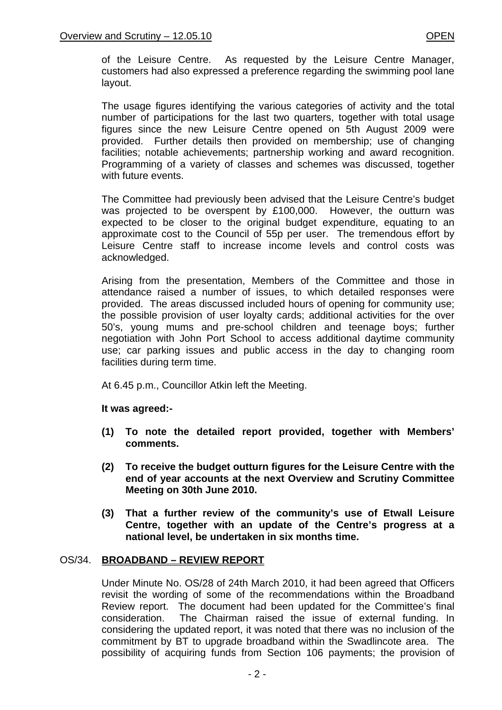of the Leisure Centre. As requested by the Leisure Centre Manager, customers had also expressed a preference regarding the swimming pool lane layout.

The usage figures identifying the various categories of activity and the total number of participations for the last two quarters, together with total usage figures since the new Leisure Centre opened on 5th August 2009 were provided. Further details then provided on membership; use of changing facilities; notable achievements; partnership working and award recognition. Programming of a variety of classes and schemes was discussed, together with future events.

The Committee had previously been advised that the Leisure Centre's budget was projected to be overspent by £100,000. However, the outturn was expected to be closer to the original budget expenditure, equating to an approximate cost to the Council of 55p per user. The tremendous effort by Leisure Centre staff to increase income levels and control costs was acknowledged.

Arising from the presentation, Members of the Committee and those in attendance raised a number of issues, to which detailed responses were provided. The areas discussed included hours of opening for community use; the possible provision of user loyalty cards; additional activities for the over 50's, young mums and pre-school children and teenage boys; further negotiation with John Port School to access additional daytime community use; car parking issues and public access in the day to changing room facilities during term time.

At 6.45 p.m., Councillor Atkin left the Meeting.

**It was agreed:-** 

- **(1) To note the detailed report provided, together with Members' comments.**
- **(2) To receive the budget outturn figures for the Leisure Centre with the end of year accounts at the next Overview and Scrutiny Committee Meeting on 30th June 2010.**
- **(3) That a further review of the community's use of Etwall Leisure Centre, together with an update of the Centre's progress at a national level, be undertaken in six months time.**

## OS/34. **BROADBAND – REVIEW REPORT**

Under Minute No. OS/28 of 24th March 2010, it had been agreed that Officers revisit the wording of some of the recommendations within the Broadband Review report. The document had been updated for the Committee's final consideration. The Chairman raised the issue of external funding. In considering the updated report, it was noted that there was no inclusion of the commitment by BT to upgrade broadband within the Swadlincote area. The possibility of acquiring funds from Section 106 payments; the provision of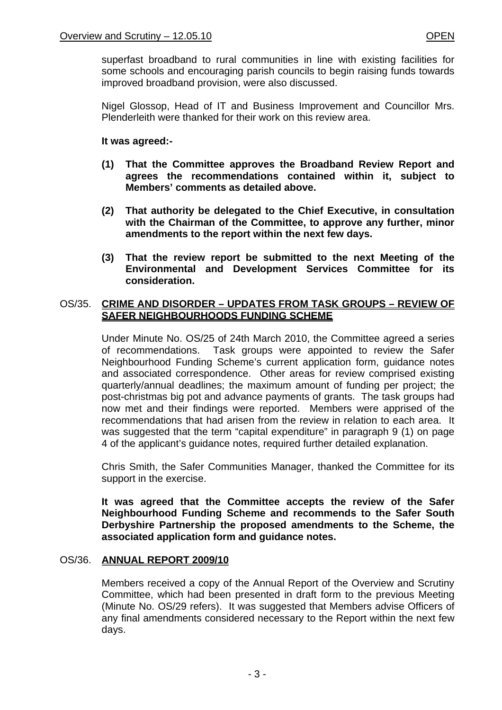superfast broadband to rural communities in line with existing facilities for some schools and encouraging parish councils to begin raising funds towards improved broadband provision, were also discussed.

Nigel Glossop, Head of IT and Business Improvement and Councillor Mrs. Plenderleith were thanked for their work on this review area.

## **It was agreed:-**

- **(1) That the Committee approves the Broadband Review Report and agrees the recommendations contained within it, subject to Members' comments as detailed above.**
- **(2) That authority be delegated to the Chief Executive, in consultation with the Chairman of the Committee, to approve any further, minor amendments to the report within the next few days.**
- **(3) That the review report be submitted to the next Meeting of the Environmental and Development Services Committee for its consideration.**

## OS/35. **CRIME AND DISORDER – UPDATES FROM TASK GROUPS – REVIEW OF SAFER NEIGHBOURHOODS FUNDING SCHEME**

Under Minute No. OS/25 of 24th March 2010, the Committee agreed a series of recommendations. Task groups were appointed to review the Safer Neighbourhood Funding Scheme's current application form, guidance notes and associated correspondence. Other areas for review comprised existing quarterly/annual deadlines; the maximum amount of funding per project; the post-christmas big pot and advance payments of grants. The task groups had now met and their findings were reported. Members were apprised of the recommendations that had arisen from the review in relation to each area. It was suggested that the term "capital expenditure" in paragraph 9 (1) on page 4 of the applicant's guidance notes, required further detailed explanation.

Chris Smith, the Safer Communities Manager, thanked the Committee for its support in the exercise.

**It was agreed that the Committee accepts the review of the Safer Neighbourhood Funding Scheme and recommends to the Safer South Derbyshire Partnership the proposed amendments to the Scheme, the associated application form and guidance notes.** 

## OS/36. **ANNUAL REPORT 2009/10**

Members received a copy of the Annual Report of the Overview and Scrutiny Committee, which had been presented in draft form to the previous Meeting (Minute No. OS/29 refers). It was suggested that Members advise Officers of any final amendments considered necessary to the Report within the next few days.